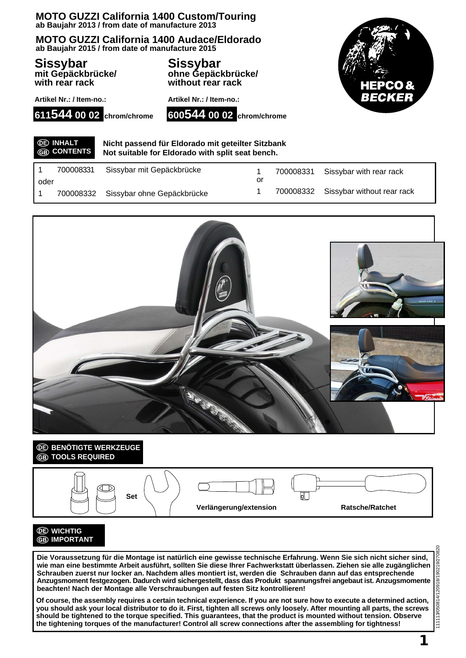### **MOTO GUZZI California 1400 Custom/Touring ab Baujahr 2013 / from date of manufacture 2013**

**MOTO GUZZI California 1400 Audace/Eldorado ab Baujahr 2015 / from date of manufacture 2015**

**Sissybar mit Gepäckbrücke/ with rear rack**

**Sissybar ohne Gepäckbrücke/ without rear rack**



**Artikel Nr.: / Item-no.:**





**Nicht passend für Eldorado mit geteilter Sitzbank Not suitable for Eldorado with split seat bench.**

| oder | 700008331 | Sissybar mit Gepäckbrücke            | or | 700008331 Sissybar with rear rack    |
|------|-----------|--------------------------------------|----|--------------------------------------|
|      |           | 700008332 Sissybar ohne Gepäckbrücke |    | 700008332 Sissybar without rear rack |



# *<b>BENÖTIGTE WERKZEUGE* **TOOLS REQUIRED**



## **WICHTIG GB** IMPORTANT

**Die Voraussetzung für die Montage ist natürlich eine gewisse technische Erfahrung. Wenn Sie sich nicht sicher sind, wie man eine bestimmte Arbeit ausführt, sollten Sie diese Ihrer Fachwerkstatt überlassen. Ziehen sie alle zugänglichen Schrauben zuerst nur locker an. Nachdem alles montiert ist, werden die Schrauben dann auf das entsprechende Anzugsmoment festgezogen. Dadurch wird sichergestellt, dass das Produkt spannungsfrei angebaut ist. Anzugsmomente beachten! Nach der Montage alle Verschraubungen auf festen Sitz kontrollieren!**

**Of course, the assembly requires a certain technical experience. If you are not sure how to execute a determined action, you should ask your local distributor to do it. First, tighten all screws only loosely. After mounting all parts, the screws should be tightened to the torque specified. This guarantees, that the product is mounted without tension. Observe the tightening torques of the manufacturer! Control all screw connections after the assembling for tightness!**

**1**